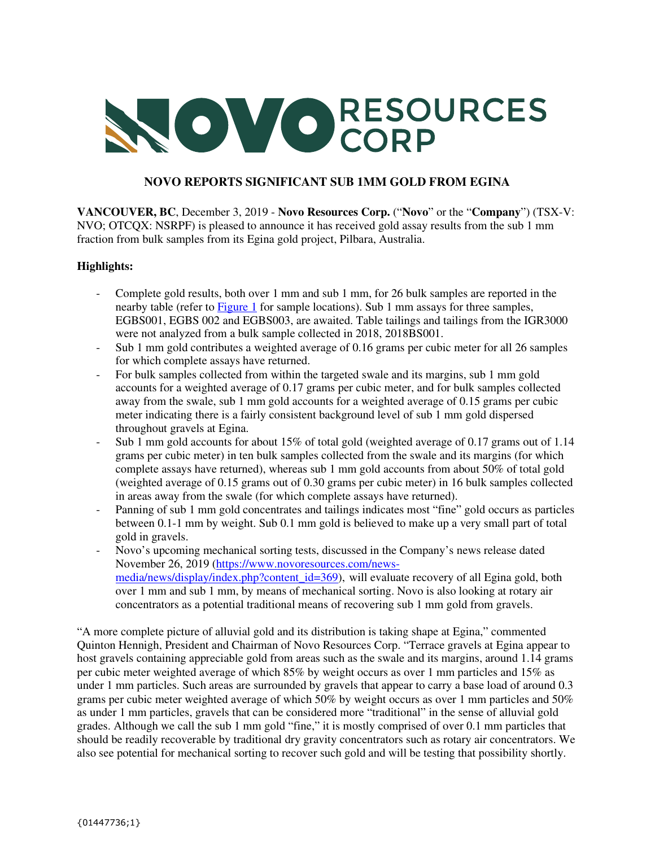# NOVORESOURCES

# **NOVO REPORTS SIGNIFICANT SUB 1MM GOLD FROM EGINA**

**VANCOUVER, BC**, December 3, 2019 - **Novo Resources Corp.** ("**Novo**" or the "**Company**") (TSX-V: NVO; OTCQX: NSRPF) is pleased to announce it has received gold assay results from the sub 1 mm fraction from bulk samples from its Egina gold project, Pilbara, Australia.

# **Highlights:**

- Complete gold results, both over 1 mm and sub 1 mm, for 26 bulk samples are reported in the nearby table (refer to Figure 1 for sample locations). Sub 1 mm assays for three samples, EGBS001, EGBS 002 and EGBS003, are awaited. Table tailings and tailings from the IGR3000 were not analyzed from a bulk sample collected in 2018, 2018BS001.
- Sub 1 mm gold contributes a weighted average of 0.16 grams per cubic meter for all 26 samples for which complete assays have returned.
- For bulk samples collected from within the targeted swale and its margins, sub 1 mm gold accounts for a weighted average of 0.17 grams per cubic meter, and for bulk samples collected away from the swale, sub 1 mm gold accounts for a weighted average of 0.15 grams per cubic meter indicating there is a fairly consistent background level of sub 1 mm gold dispersed throughout gravels at Egina.
- Sub 1 mm gold accounts for about 15% of total gold (weighted average of 0.17 grams out of 1.14 grams per cubic meter) in ten bulk samples collected from the swale and its margins (for which complete assays have returned), whereas sub 1 mm gold accounts from about 50% of total gold (weighted average of 0.15 grams out of 0.30 grams per cubic meter) in 16 bulk samples collected in areas away from the swale (for which complete assays have returned).
- Panning of sub 1 mm gold concentrates and tailings indicates most "fine" gold occurs as particles between 0.1-1 mm by weight. Sub 0.1 mm gold is believed to make up a very small part of total gold in gravels.
- Novo's upcoming mechanical sorting tests, discussed in the Company's news release dated November 26, 2019 (https://www.novoresources.com/newsmedia/news/display/index.php?content\_id=369), will evaluate recovery of all Egina gold, both over 1 mm and sub 1 mm, by means of mechanical sorting. Novo is also looking at rotary air concentrators as a potential traditional means of recovering sub 1 mm gold from gravels.

"A more complete picture of alluvial gold and its distribution is taking shape at Egina," commented Quinton Hennigh, President and Chairman of Novo Resources Corp. "Terrace gravels at Egina appear to host gravels containing appreciable gold from areas such as the swale and its margins, around 1.14 grams per cubic meter weighted average of which 85% by weight occurs as over 1 mm particles and 15% as under 1 mm particles. Such areas are surrounded by gravels that appear to carry a base load of around 0.3 grams per cubic meter weighted average of which 50% by weight occurs as over 1 mm particles and 50% as under 1 mm particles, gravels that can be considered more "traditional" in the sense of alluvial gold grades. Although we call the sub 1 mm gold "fine," it is mostly comprised of over 0.1 mm particles that should be readily recoverable by traditional dry gravity concentrators such as rotary air concentrators. We also see potential for mechanical sorting to recover such gold and will be testing that possibility shortly.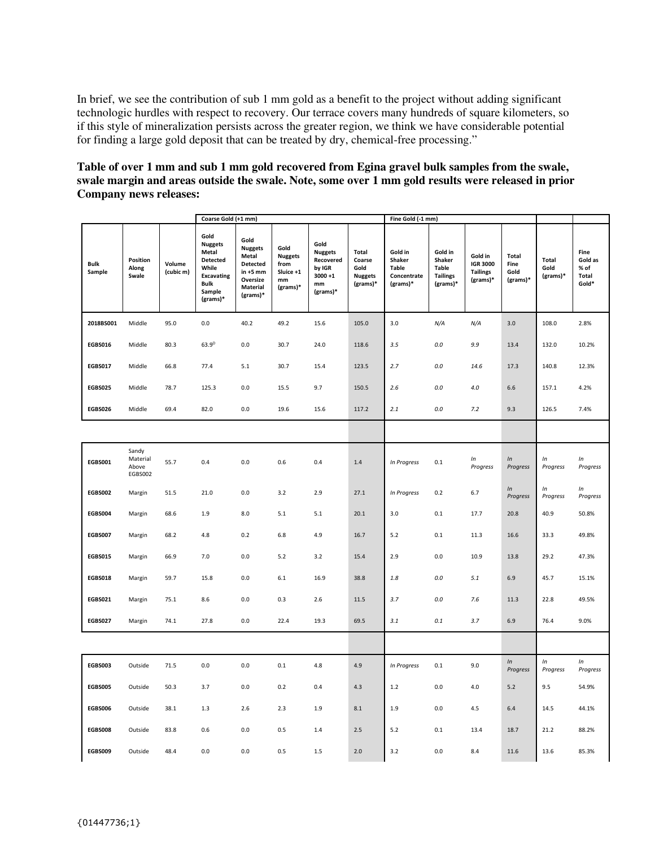In brief, we see the contribution of sub 1 mm gold as a benefit to the project without adding significant technologic hurdles with respect to recovery. Our terrace covers many hundreds of square kilometers, so if this style of mineralization persists across the greater region, we think we have considerable potential for finding a large gold deposit that can be treated by dry, chemical-free processing."

## **Table of over 1 mm and sub 1 mm gold recovered from Egina gravel bulk samples from the swale, swale margin and areas outside the swale. Note, some over 1 mm gold results were released in prior Company news releases:**

|                | Coarse Gold (+1 mm)                   |                     |                                                                                                                |                                                                                               |                                                                          |                                                                               |                                                       | Fine Gold (-1 mm)                                            |                                                                  |                                                           |                                   |                             |                                           |  |
|----------------|---------------------------------------|---------------------|----------------------------------------------------------------------------------------------------------------|-----------------------------------------------------------------------------------------------|--------------------------------------------------------------------------|-------------------------------------------------------------------------------|-------------------------------------------------------|--------------------------------------------------------------|------------------------------------------------------------------|-----------------------------------------------------------|-----------------------------------|-----------------------------|-------------------------------------------|--|
| Bulk<br>Sample | Position<br>Along<br>Swale            | Volume<br>(cubic m) | Gold<br><b>Nuggets</b><br>Metal<br>Detected<br>While<br><b>Excavating</b><br><b>Bulk</b><br>Sample<br>(grams)* | Gold<br><b>Nuggets</b><br>Metal<br>Detected<br>$in +5$ mm<br>Oversize<br>Material<br>(grams)* | Gold<br><b>Nuggets</b><br>from<br>Sluice +1<br>$\mathbf{mm}$<br>(grams)* | Gold<br><b>Nuggets</b><br>Recovered<br>by IGR<br>$3000 + 1$<br>mm<br>(grams)* | Total<br>Coarse<br>Gold<br><b>Nuggets</b><br>(grams)* | Gold in<br>Shaker<br><b>Table</b><br>Concentrate<br>(grams)* | Gold in<br>Shaker<br><b>Table</b><br><b>Tailings</b><br>(grams)* | Gold in<br><b>IGR 3000</b><br><b>Tailings</b><br>(grams)* | Total<br>Fine<br>Gold<br>(grams)* | Total<br>Gold<br>$(grams)*$ | Fine<br>Gold as<br>% of<br>Total<br>Gold* |  |
| 2018BS001      | Middle                                | 95.0                | 0.0                                                                                                            | 40.2                                                                                          | 49.2                                                                     | 15.6                                                                          | 105.0                                                 | 3.0                                                          | N/A                                                              | N/A                                                       | 3.0                               | 108.0                       | 2.8%                                      |  |
| <b>EGBS016</b> | Middle                                | 80.3                | $63.9^{D}$                                                                                                     | 0.0                                                                                           | 30.7                                                                     | 24.0                                                                          | 118.6                                                 | 3.5                                                          | $0.0\,$                                                          | 9.9                                                       | 13.4                              | 132.0                       | 10.2%                                     |  |
| <b>EGBS017</b> | Middle                                | 66.8                | 77.4                                                                                                           | 5.1                                                                                           | 30.7                                                                     | 15.4                                                                          | 123.5                                                 | 2.7                                                          | $0.0\,$                                                          | 14.6                                                      | 17.3                              | 140.8                       | 12.3%                                     |  |
| <b>EGBS025</b> | Middle                                | 78.7                | 125.3                                                                                                          | 0.0                                                                                           | 15.5                                                                     | 9.7                                                                           | 150.5                                                 | 2.6                                                          | 0.0                                                              | 4.0                                                       | 6.6                               | 157.1                       | 4.2%                                      |  |
| <b>EGBS026</b> | Middle                                | 69.4                | 82.0                                                                                                           | 0.0                                                                                           | 19.6                                                                     | 15.6                                                                          | 117.2                                                 | 2.1                                                          | 0.0                                                              | 7.2                                                       | 9.3                               | 126.5                       | 7.4%                                      |  |
|                |                                       |                     |                                                                                                                |                                                                                               |                                                                          |                                                                               |                                                       |                                                              |                                                                  |                                                           |                                   |                             |                                           |  |
| <b>EGBS001</b> | Sandy<br>Material<br>Above<br>EGBS002 | 55.7                | 0.4                                                                                                            | 0.0                                                                                           | 0.6                                                                      | 0.4                                                                           | 1.4                                                   | In Progress                                                  | 0.1                                                              | ln<br>Progress                                            | In<br>Progress                    | ln<br>Progress              | In<br>Progress                            |  |
| <b>EGBS002</b> | Margin                                | 51.5                | 21.0                                                                                                           | $0.0\,$                                                                                       | 3.2                                                                      | 2.9                                                                           | 27.1                                                  | In Progress                                                  | 0.2                                                              | 6.7                                                       | ln<br>Progress                    | ln<br>Progress              | In<br>Progress                            |  |
| <b>EGBS004</b> | Margin                                | 68.6                | 1.9                                                                                                            | 8.0                                                                                           | 5.1                                                                      | 5.1                                                                           | 20.1                                                  | 3.0                                                          | 0.1                                                              | 17.7                                                      | 20.8                              | 40.9                        | 50.8%                                     |  |
| <b>EGBS007</b> | Margin                                | 68.2                | 4.8                                                                                                            | 0.2                                                                                           | 6.8                                                                      | 4.9                                                                           | 16.7                                                  | 5.2                                                          | 0.1                                                              | 11.3                                                      | 16.6                              | 33.3                        | 49.8%                                     |  |
| <b>EGBS015</b> | Margin                                | 66.9                | 7.0                                                                                                            | 0.0                                                                                           | 5.2                                                                      | 3.2                                                                           | 15.4                                                  | 2.9                                                          | 0.0                                                              | 10.9                                                      | 13.8                              | 29.2                        | 47.3%                                     |  |
| <b>EGBS018</b> | Margin                                | 59.7                | 15.8                                                                                                           | 0.0                                                                                           | 6.1                                                                      | 16.9                                                                          | 38.8                                                  | $1.8\,$                                                      | $0.0\,$                                                          | 5.1                                                       | 6.9                               | 45.7                        | 15.1%                                     |  |
| <b>EGBS021</b> | Margin                                | 75.1                | 8.6                                                                                                            | $0.0\,$                                                                                       | 0.3                                                                      | 2.6                                                                           | 11.5                                                  | 3.7                                                          | $0.0\,$                                                          | 7.6                                                       | 11.3                              | 22.8                        | 49.5%                                     |  |
| <b>EGBS027</b> | Margin                                | 74.1                | 27.8                                                                                                           | $0.0\,$                                                                                       | 22.4                                                                     | 19.3                                                                          | 69.5                                                  | 3.1                                                          | 0.1                                                              | 3.7                                                       | 6.9                               | 76.4                        | 9.0%                                      |  |
|                |                                       |                     |                                                                                                                |                                                                                               |                                                                          |                                                                               |                                                       |                                                              |                                                                  |                                                           |                                   |                             |                                           |  |
| <b>EGBS003</b> | Outside                               | 71.5                | 0.0                                                                                                            | $0.0\,$                                                                                       | 0.1                                                                      | 4.8                                                                           | 4.9                                                   | In Progress                                                  | 0.1                                                              | 9.0                                                       | $\ln$<br>Progress                 | ln<br>Progress              | In<br>Progress                            |  |
| <b>EGBS005</b> | Outside                               | 50.3                | 3.7                                                                                                            | 0.0                                                                                           | 0.2                                                                      | 0.4                                                                           | 4.3                                                   | 1.2                                                          | 0.0                                                              | 4.0                                                       | 5.2                               | 9.5                         | 54.9%                                     |  |
| <b>EGBS006</b> | Outside                               | 38.1                | 1.3                                                                                                            | 2.6                                                                                           | 2.3                                                                      | 1.9                                                                           | 8.1                                                   | 1.9                                                          | 0.0                                                              | 4.5                                                       | 6.4                               | 14.5                        | 44.1%                                     |  |
| <b>EGBS008</b> | Outside                               | 83.8                | 0.6                                                                                                            | 0.0                                                                                           | 0.5                                                                      | 1.4                                                                           | 2.5                                                   | 5.2                                                          | $0.1\,$                                                          | 13.4                                                      | 18.7                              | 21.2                        | 88.2%                                     |  |
| <b>EGBS009</b> | Outside                               | 48.4                | 0.0                                                                                                            | 0.0                                                                                           | 0.5                                                                      | 1.5                                                                           | 2.0                                                   | 3.2                                                          | 0.0                                                              | 8.4                                                       | 11.6                              | 13.6                        | 85.3%                                     |  |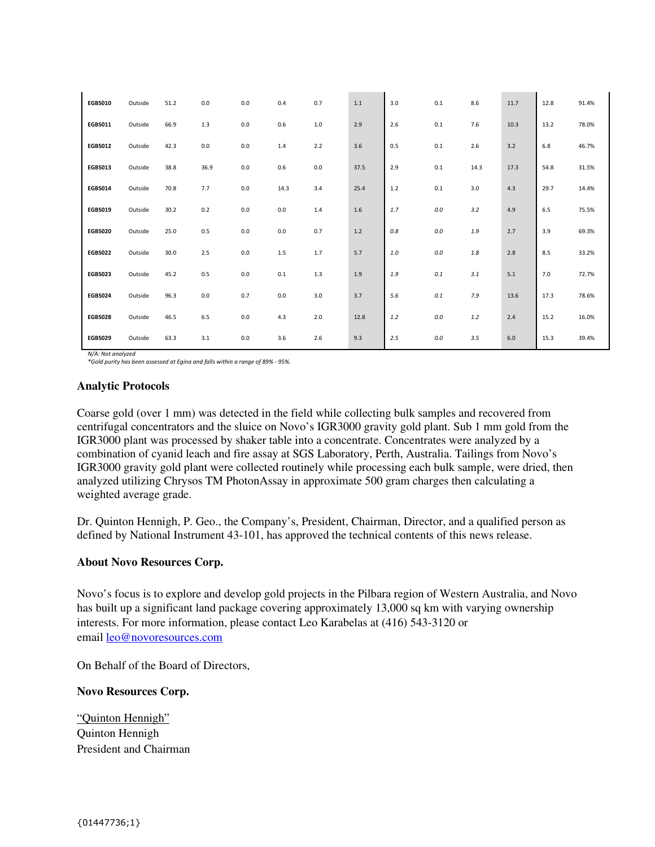| <b>EGBS010</b> | Outside | 51.2 | 0.0     | 0.0     | 0.4     | 0.7     | $1.1$ | 3.0   | 0.1     | 8.6     | 11.7 | 12.8 | 91.4% |
|----------------|---------|------|---------|---------|---------|---------|-------|-------|---------|---------|------|------|-------|
| <b>EGBS011</b> | Outside | 66.9 | $1.3\,$ | 0.0     | 0.6     | $1.0\,$ | 2.9   | 2.6   | 0.1     | 7.6     | 10.3 | 13.2 | 78.0% |
| <b>EGBS012</b> | Outside | 42.3 | 0.0     | 0.0     | $1.4\,$ | 2.2     | 3.6   | 0.5   | $0.1\,$ | 2.6     | 3.2  | 6.8  | 46.7% |
| EGBS013        | Outside | 38.8 | 36.9    | 0.0     | 0.6     | $0.0\,$ | 37.5  | 2.9   | 0.1     | 14.3    | 17.3 | 54.8 | 31.5% |
| <b>EGBS014</b> | Outside | 70.8 | 7.7     | 0.0     | 14.3    | 3.4     | 25.4  | 1.2   | 0.1     | 3.0     | 4.3  | 29.7 | 14.4% |
| <b>EGBS019</b> | Outside | 30.2 | 0.2     | $0.0\,$ | $0.0\,$ | 1.4     | 1.6   | 1.7   | 0.0     | 3.2     | 4.9  | 6.5  | 75.5% |
| <b>EGBS020</b> | Outside | 25.0 | 0.5     | 0.0     | 0.0     | 0.7     | 1.2   | 0.8   | 0.0     | 1.9     | 2.7  | 3.9  | 69.3% |
| <b>EGBS022</b> | Outside | 30.0 | 2.5     | 0.0     | 1.5     | 1.7     | 5.7   | $1.0$ | 0.0     | $1.8\,$ | 2.8  | 8.5  | 33.2% |
| EGBS023        | Outside | 45.2 | 0.5     | 0.0     | $0.1\,$ | $1.3\,$ | 1.9   | 1.9   | $0.1\,$ | 3.1     | 5.1  | 7.0  | 72.7% |
| <b>EGBS024</b> | Outside | 96.3 | 0.0     | 0.7     | $0.0\,$ | 3.0     | 3.7   | 5.6   | $0.1\,$ | 7.9     | 13.6 | 17.3 | 78.6% |
| <b>EGBS028</b> | Outside | 46.5 | 6.5     | $0.0\,$ | 4.3     | 2.0     | 12.8  | 1.2   | $0.0\,$ | $1.2\,$ | 2.4  | 15.2 | 16.0% |
| <b>EGBS029</b> | Outside | 63.3 | 3.1     | $0.0\,$ | 3.6     | 2.6     | 9.3   | 2.5   | $0.0\,$ | 3.5     | 6.0  | 15.3 | 39.4% |

*N/A: Not analyzed \*Gold purity has been assessed at Egina and falls within a range of 89% - 95%.* 

### **Analytic Protocols**

Coarse gold (over 1 mm) was detected in the field while collecting bulk samples and recovered from centrifugal concentrators and the sluice on Novo's IGR3000 gravity gold plant. Sub 1 mm gold from the IGR3000 plant was processed by shaker table into a concentrate. Concentrates were analyzed by a combination of cyanid leach and fire assay at SGS Laboratory, Perth, Australia. Tailings from Novo's IGR3000 gravity gold plant were collected routinely while processing each bulk sample, were dried, then analyzed utilizing Chrysos TM PhotonAssay in approximate 500 gram charges then calculating a weighted average grade.

Dr. Quinton Hennigh, P. Geo., the Company's, President, Chairman, Director, and a qualified person as defined by National Instrument 43-101, has approved the technical contents of this news release.

### **About Novo Resources Corp.**

Novo's focus is to explore and develop gold projects in the Pilbara region of Western Australia, and Novo has built up a significant land package covering approximately 13,000 sq km with varying ownership interests. For more information, please contact Leo Karabelas at (416) 543-3120 or email leo@novoresources.com

On Behalf of the Board of Directors,

### **Novo Resources Corp.**

"Quinton Hennigh" Quinton Hennigh President and Chairman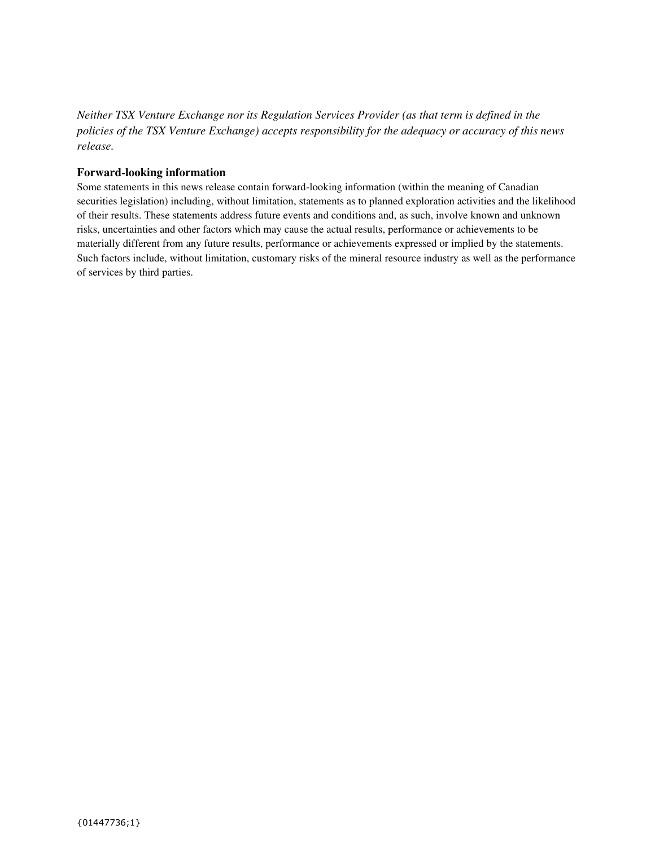*Neither TSX Venture Exchange nor its Regulation Services Provider (as that term is defined in the policies of the TSX Venture Exchange) accepts responsibility for the adequacy or accuracy of this news release.* 

### **Forward-looking information**

Some statements in this news release contain forward-looking information (within the meaning of Canadian securities legislation) including, without limitation, statements as to planned exploration activities and the likelihood of their results. These statements address future events and conditions and, as such, involve known and unknown risks, uncertainties and other factors which may cause the actual results, performance or achievements to be materially different from any future results, performance or achievements expressed or implied by the statements. Such factors include, without limitation, customary risks of the mineral resource industry as well as the performance of services by third parties.